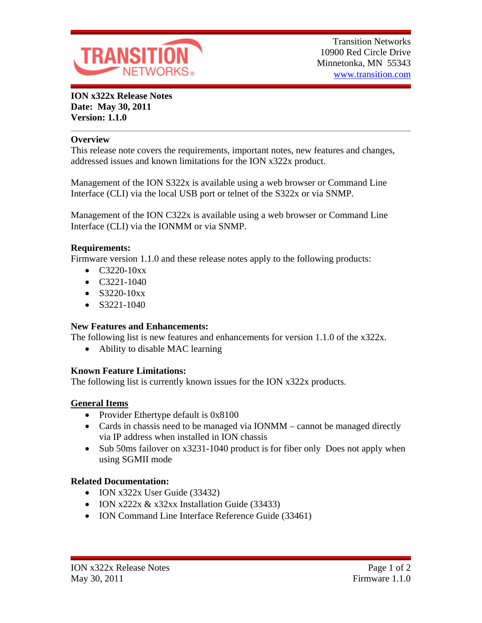

**ION x322x Release Notes Date: May 30, 2011 Version: 1.1.0**

#### **Overview**

This release note covers the requirements, important notes, new features and changes, addressed issues and known limitations for the ION x322x product.

Management of the ION S322x is available using a web browser or Command Line Interface (CLI) via the local USB port or telnet of the S322x or via SNMP.

Management of the ION C322x is available using a web browser or Command Line Interface (CLI) via the IONMM or via SNMP.

#### **Requirements:**

Firmware version 1.1.0 and these release notes apply to the following products:

- $\bullet$  C3220-10xx
- $\bullet$  C3221-1040
- $\bullet$  S3220-10xx
- $\bullet$  S3221-1040

## **New Features and Enhancements:**

The following list is new features and enhancements for version 1.1.0 of the x322x.

• Ability to disable MAC learning

## **Known Feature Limitations:**

The following list is currently known issues for the ION x322x products.

## **General Items**

- Provider Ethertype default is 0x8100
- Cards in chassis need to be managed via IONMM cannot be managed directly via IP address when installed in ION chassis
- Sub 50ms failover on x3231-1040 product is for fiber only Does not apply when using SGMII mode

## **Related Documentation:**

- ION x322x User Guide (33432)
- $\bullet$  ION x222x & x32xx Installation Guide (33433)
- ION Command Line Interface Reference Guide (33461)